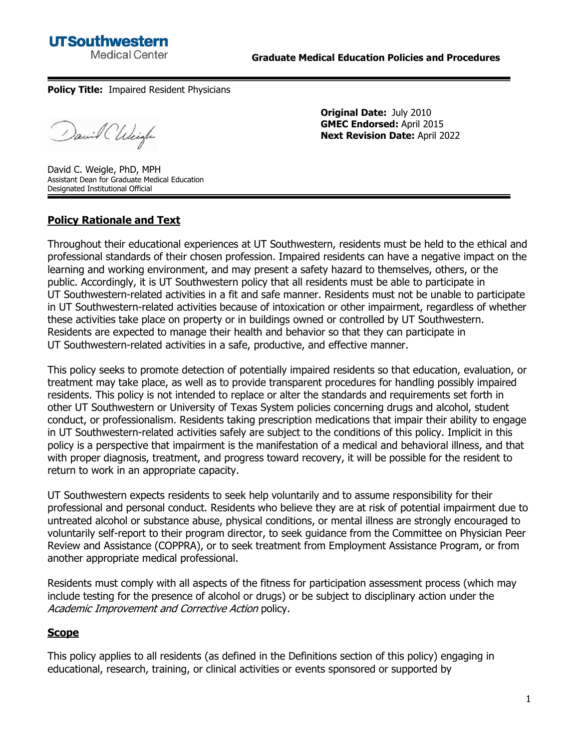**Policy Title:** Impaired Resident Physicians

David Chleigh

**Original Date:** July 2010 **GMEC Endorsed:** April 2015 **Next Revision Date:** April 2022

David C. Weigle, PhD, MPH Assistant Dean for Graduate Medical Education Designated Institutional Official

# **Policy Rationale and Text**

Throughout their educational experiences at UT Southwestern, residents must be held to the ethical and professional standards of their chosen profession. Impaired residents can have a negative impact on the learning and working environment, and may present a safety hazard to themselves, others, or the public. Accordingly, it is UT Southwestern policy that all residents must be able to participate in UT Southwestern-related activities in a fit and safe manner. Residents must not be unable to participate in UT Southwestern-related activities because of intoxication or other impairment, regardless of whether these activities take place on property or in buildings owned or controlled by UT Southwestern. Residents are expected to manage their health and behavior so that they can participate in UT Southwestern-related activities in a safe, productive, and effective manner.

This policy seeks to promote detection of potentially impaired residents so that education, evaluation, or treatment may take place, as well as to provide transparent procedures for handling possibly impaired residents. This policy is not intended to replace or alter the standards and requirements set forth in other UT Southwestern or University of Texas System policies concerning drugs and alcohol, student conduct, or professionalism. Residents taking prescription medications that impair their ability to engage in UT Southwestern-related activities safely are subject to the conditions of this policy. Implicit in this policy is a perspective that impairment is the manifestation of a medical and behavioral illness, and that with proper diagnosis, treatment, and progress toward recovery, it will be possible for the resident to return to work in an appropriate capacity.

UT Southwestern expects residents to seek help voluntarily and to assume responsibility for their professional and personal conduct. Residents who believe they are at risk of potential impairment due to untreated alcohol or substance abuse, physical conditions, or mental illness are strongly encouraged to voluntarily self-report to their program director, to seek guidance from the Committee on Physician Peer Review and Assistance (COPPRA), or to seek treatment from Employment Assistance Program, or from another appropriate medical professional.

Residents must comply with all aspects of the fitness for participation assessment process (which may include testing for the presence of alcohol or drugs) or be subject to disciplinary action under the Academic Improvement and Corrective Action policy.

## **Scope**

This policy applies to all residents (as defined in the Definitions section of this policy) engaging in educational, research, training, or clinical activities or events sponsored or supported by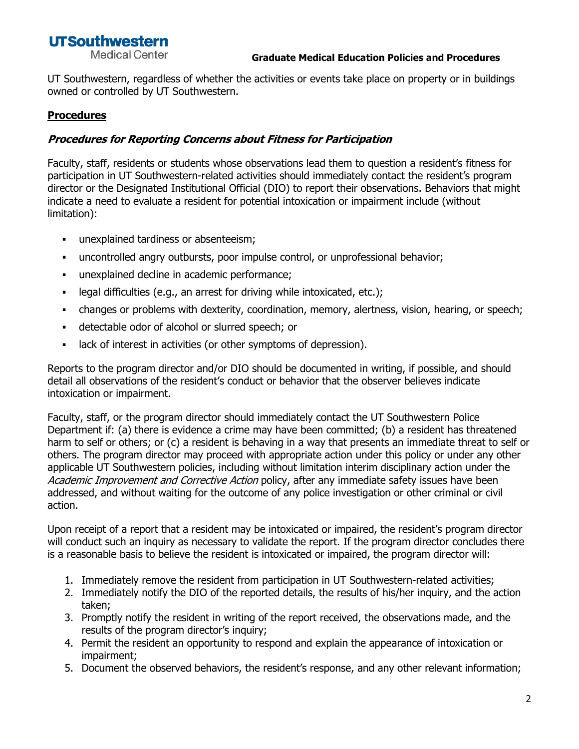**Medical Center** 

UT Southwestern, regardless of whether the activities or events take place on property or in buildings owned or controlled by UT Southwestern.

# **Procedures**

# **Procedures for Reporting Concerns about Fitness for Participation**

Faculty, staff, residents or students whose observations lead them to question a resident's fitness for participation in UT Southwestern-related activities should immediately contact the resident's program director or the Designated Institutional Official (DIO) to report their observations. Behaviors that might indicate a need to evaluate a resident for potential intoxication or impairment include (without limitation):

- **·** unexplained tardiness or absenteeism;
- uncontrolled angry outbursts, poor impulse control, or unprofessional behavior;
- unexplained decline in academic performance;
- legal difficulties (e.g., an arrest for driving while intoxicated, etc.);
- changes or problems with dexterity, coordination, memory, alertness, vision, hearing, or speech;
- detectable odor of alcohol or slurred speech; or
- lack of interest in activities (or other symptoms of depression).

Reports to the program director and/or DIO should be documented in writing, if possible, and should detail all observations of the resident's conduct or behavior that the observer believes indicate intoxication or impairment.

Faculty, staff, or the program director should immediately contact the UT Southwestern Police Department if: (a) there is evidence a crime may have been committed; (b) a resident has threatened harm to self or others; or (c) a resident is behaving in a way that presents an immediate threat to self or others. The program director may proceed with appropriate action under this policy or under any other applicable UT Southwestern policies, including without limitation interim disciplinary action under the Academic Improvement and Corrective Action policy, after any immediate safety issues have been addressed, and without waiting for the outcome of any police investigation or other criminal or civil action.

Upon receipt of a report that a resident may be intoxicated or impaired, the resident's program director will conduct such an inquiry as necessary to validate the report. If the program director concludes there is a reasonable basis to believe the resident is intoxicated or impaired, the program director will:

- 1. Immediately remove the resident from participation in UT Southwestern-related activities;
- 2. Immediately notify the DIO of the reported details, the results of his/her inquiry, and the action taken;
- 3. Promptly notify the resident in writing of the report received, the observations made, and the results of the program director's inquiry;
- 4. Permit the resident an opportunity to respond and explain the appearance of intoxication or impairment;
- 5. Document the observed behaviors, the resident's response, and any other relevant information;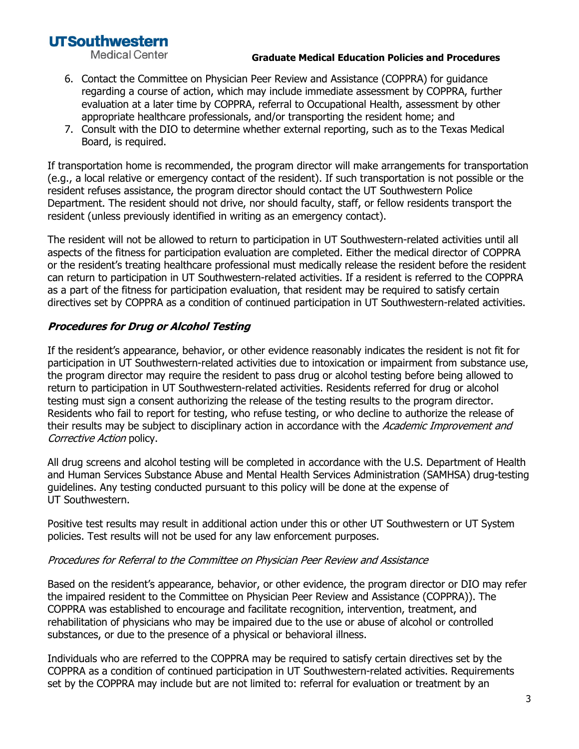**Medical Center** 

#### **Graduate Medical Education Policies and Procedures**

- 6. Contact the Committee on Physician Peer Review and Assistance (COPPRA) for guidance regarding a course of action, which may include immediate assessment by COPPRA, further evaluation at a later time by COPPRA, referral to Occupational Health, assessment by other appropriate healthcare professionals, and/or transporting the resident home; and
- 7. Consult with the DIO to determine whether external reporting, such as to the Texas Medical Board, is required.

If transportation home is recommended, the program director will make arrangements for transportation (e.g., a local relative or emergency contact of the resident). If such transportation is not possible or the resident refuses assistance, the program director should contact the UT Southwestern Police Department. The resident should not drive, nor should faculty, staff, or fellow residents transport the resident (unless previously identified in writing as an emergency contact).

The resident will not be allowed to return to participation in UT Southwestern-related activities until all aspects of the fitness for participation evaluation are completed. Either the medical director of COPPRA or the resident's treating healthcare professional must medically release the resident before the resident can return to participation in UT Southwestern-related activities. If a resident is referred to the COPPRA as a part of the fitness for participation evaluation, that resident may be required to satisfy certain directives set by COPPRA as a condition of continued participation in UT Southwestern-related activities.

# **Procedures for Drug or Alcohol Testing**

If the resident's appearance, behavior, or other evidence reasonably indicates the resident is not fit for participation in UT Southwestern-related activities due to intoxication or impairment from substance use, the program director may require the resident to pass drug or alcohol testing before being allowed to return to participation in UT Southwestern-related activities. Residents referred for drug or alcohol testing must sign a consent authorizing the release of the testing results to the program director. Residents who fail to report for testing, who refuse testing, or who decline to authorize the release of their results may be subject to disciplinary action in accordance with the Academic Improvement and Corrective Action policy.

All drug screens and alcohol testing will be completed in accordance with the U.S. Department of Health and Human Services Substance Abuse and Mental Health Services Administration (SAMHSA) drug-testing guidelines. Any testing conducted pursuant to this policy will be done at the expense of UT Southwestern.

Positive test results may result in additional action under this or other UT Southwestern or UT System policies. Test results will not be used for any law enforcement purposes.

#### Procedures for Referral to the Committee on Physician Peer Review and Assistance

Based on the resident's appearance, behavior, or other evidence, the program director or DIO may refer the impaired resident to the Committee on Physician Peer Review and Assistance (COPPRA)). The COPPRA was established to encourage and facilitate recognition, intervention, treatment, and rehabilitation of physicians who may be impaired due to the use or abuse of alcohol or controlled substances, or due to the presence of a physical or behavioral illness.

Individuals who are referred to the COPPRA may be required to satisfy certain directives set by the COPPRA as a condition of continued participation in UT Southwestern-related activities. Requirements set by the COPPRA may include but are not limited to: referral for evaluation or treatment by an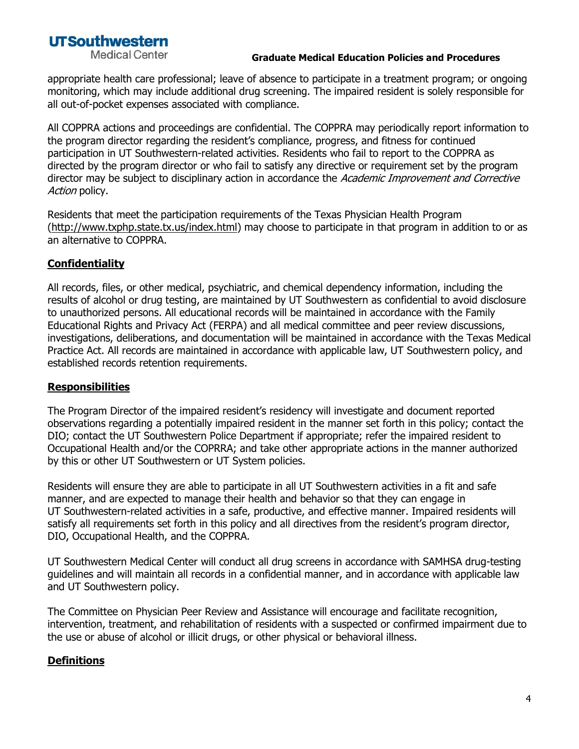**Medical Center** 

#### **Graduate Medical Education Policies and Procedures**

appropriate health care professional; leave of absence to participate in a treatment program; or ongoing monitoring, which may include additional drug screening. The impaired resident is solely responsible for all out-of-pocket expenses associated with compliance.

All COPPRA actions and proceedings are confidential. The COPPRA may periodically report information to the program director regarding the resident's compliance, progress, and fitness for continued participation in UT Southwestern-related activities. Residents who fail to report to the COPPRA as directed by the program director or who fail to satisfy any directive or requirement set by the program director may be subject to disciplinary action in accordance the Academic Improvement and Corrective Action policy.

Residents that meet the participation requirements of the Texas Physician Health Program [\(http://www.txphp.state.tx.us/index.html\)](http://www.txphp.state.tx.us/index.html) may choose to participate in that program in addition to or as an alternative to COPPRA.

## **Confidentiality**

All records, files, or other medical, psychiatric, and chemical dependency information, including the results of alcohol or drug testing, are maintained by UT Southwestern as confidential to avoid disclosure to unauthorized persons. All educational records will be maintained in accordance with the Family Educational Rights and Privacy Act (FERPA) and all medical committee and peer review discussions, investigations, deliberations, and documentation will be maintained in accordance with the Texas Medical Practice Act. All records are maintained in accordance with applicable law, UT Southwestern policy, and established records retention requirements.

## **Responsibilities**

The Program Director of the impaired resident's residency will investigate and document reported observations regarding a potentially impaired resident in the manner set forth in this policy; contact the DIO; contact the UT Southwestern Police Department if appropriate; refer the impaired resident to Occupational Health and/or the COPRRA; and take other appropriate actions in the manner authorized by this or other UT Southwestern or UT System policies.

Residents will ensure they are able to participate in all UT Southwestern activities in a fit and safe manner, and are expected to manage their health and behavior so that they can engage in UT Southwestern-related activities in a safe, productive, and effective manner. Impaired residents will satisfy all requirements set forth in this policy and all directives from the resident's program director, DIO, Occupational Health, and the COPPRA.

UT Southwestern Medical Center will conduct all drug screens in accordance with SAMHSA drug-testing guidelines and will maintain all records in a confidential manner, and in accordance with applicable law and UT Southwestern policy.

The Committee on Physician Peer Review and Assistance will encourage and facilitate recognition, intervention, treatment, and rehabilitation of residents with a suspected or confirmed impairment due to the use or abuse of alcohol or illicit drugs, or other physical or behavioral illness.

## **Definitions**